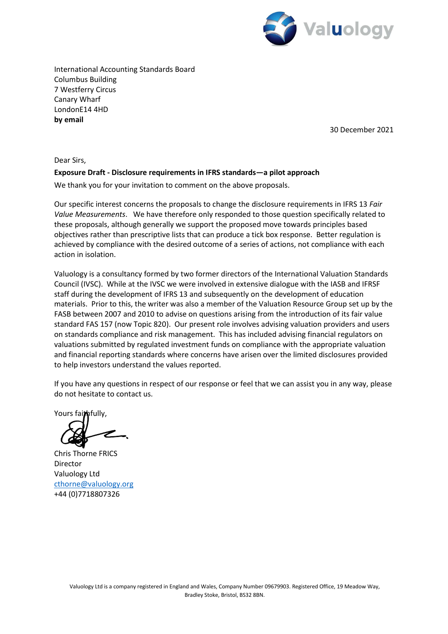

International Accounting Standards Board Columbus Building 7 Westferry Circus Canary Wharf LondonE14 4HD **by email** 

30 December 2021

Dear Sirs,

#### **Exposure Draft - Disclosure requirements in IFRS standards—a pilot approach**

We thank you for your invitation to comment on the above proposals.

Our specific interest concerns the proposals to change the disclosure requirements in IFRS 13 *Fair Value Measurements*. We have therefore only responded to those question specifically related to these proposals, although generally we support the proposed move towards principles based objectives rather than prescriptive lists that can produce a tick box response. Better regulation is achieved by compliance with the desired outcome of a series of actions, not compliance with each action in isolation.

Valuology is a consultancy formed by two former directors of the International Valuation Standards Council (IVSC). While at the IVSC we were involved in extensive dialogue with the IASB and IFRSF staff during the development of IFRS 13 and subsequently on the development of education materials. Prior to this, the writer was also a member of the Valuation Resource Group set up by the FASB between 2007 and 2010 to advise on questions arising from the introduction of its fair value standard FAS 157 (now Topic 820). Our present role involves advising valuation providers and users on standards compliance and risk management. This has included advising financial regulators on valuations submitted by regulated investment funds on compliance with the appropriate valuation and financial reporting standards where concerns have arisen over the limited disclosures provided to help investors understand the values reported.

If you have any questions in respect of our response or feel that we can assist you in any way, please do not hesitate to contact us.

Yours faithfully,

Chris Thorne FRICS Director Valuology Ltd [cthorne@valuology.org](mailto:cthorne@valuology.org) +44 (0)7718807326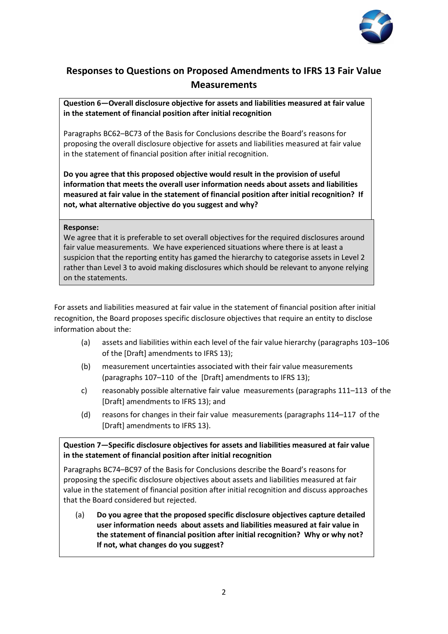

# **Responses to Questions on Proposed Amendments to IFRS 13 Fair Value Measurements**

**Question 6—Overall disclosure objective for assets and liabilities measured at fair value in the statement of financial position after initial recognition** 

Paragraphs BC62–BC73 of the Basis for Conclusions describe the Board's reasons for proposing the overall disclosure objective for assets and liabilities measured at fair value in the statement of financial position after initial recognition.

**Do you agree that this proposed objective would result in the provision of useful information that meets the overall user information needs about assets and liabilities measured at fair value in the statement of financial position after initial recognition? If not, what alternative objective do you suggest and why?** 

#### **Response:**

We agree that it is preferable to set overall objectives for the required disclosures around fair value measurements. We have experienced situations where there is at least a suspicion that the reporting entity has gamed the hierarchy to categorise assets in Level 2 rather than Level 3 to avoid making disclosures which should be relevant to anyone relying on the statements.

For assets and liabilities measured at fair value in the statement of financial position after initial recognition, the Board proposes specific disclosure objectives that require an entity to disclose information about the:

- (a) assets and liabilities within each level of the fair value hierarchy (paragraphs 103–106 of the [Draft] amendments to IFRS 13);
- (b) measurement uncertainties associated with their fair value measurements (paragraphs 107–110 of the [Draft] amendments to IFRS 13);
- c) reasonably possible alternative fair value measurements (paragraphs 111–113 of the [Draft] amendments to IFRS 13); and
- (d) reasons for changes in their fair value measurements (paragraphs 114–117 of the [Draft] amendments to IFRS 13).

# **Question 7—Specific disclosure objectives for assets and liabilities measured at fair value in the statement of financial position after initial recognition**

Paragraphs BC74–BC97 of the Basis for Conclusions describe the Board's reasons for proposing the specific disclosure objectives about assets and liabilities measured at fair value in the statement of financial position after initial recognition and discuss approaches that the Board considered but rejected.

(a) **Do you agree that the proposed specific disclosure objectives capture detailed user information needs about assets and liabilities measured at fair value in the statement of financial position after initial recognition? Why or why not? If not, what changes do you suggest?**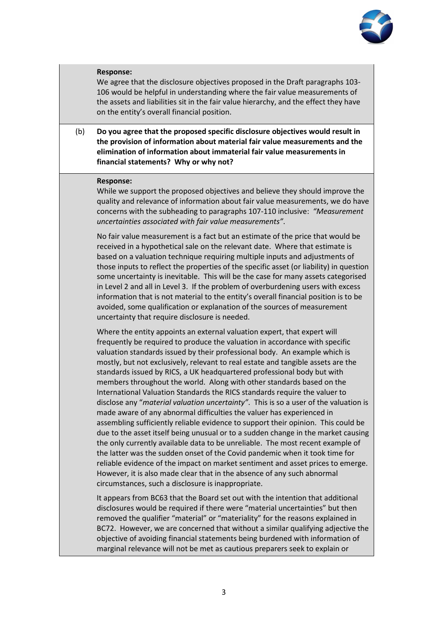

## **Response:**

We agree that the disclosure objectives proposed in the Draft paragraphs 103- 106 would be helpful in understanding where the fair value measurements of the assets and liabilities sit in the fair value hierarchy, and the effect they have on the entity's overall financial position.

(b) **Do you agree that the proposed specific disclosure objectives would result in the provision of information about material fair value measurements and the elimination of information about immaterial fair value measurements in financial statements? Why or why not?** 

#### **Response:**

While we support the proposed objectives and believe they should improve the quality and relevance of information about fair value measurements, we do have concerns with the subheading to paragraphs 107-110 inclusive: *"Measurement uncertainties associated with fair value measurements"*.

No fair value measurement is a fact but an estimate of the price that would be received in a hypothetical sale on the relevant date. Where that estimate is based on a valuation technique requiring multiple inputs and adjustments of those inputs to reflect the properties of the specific asset (or liability) in question some uncertainty is inevitable. This will be the case for many assets categorised in Level 2 and all in Level 3. If the problem of overburdening users with excess information that is not material to the entity's overall financial position is to be avoided, some qualification or explanation of the sources of measurement uncertainty that require disclosure is needed.

Where the entity appoints an external valuation expert, that expert will frequently be required to produce the valuation in accordance with specific valuation standards issued by their professional body. An example which is mostly, but not exclusively, relevant to real estate and tangible assets are the standards issued by RICS, a UK headquartered professional body but with members throughout the world. Along with other standards based on the International Valuation Standards the RICS standards require the valuer to disclose any "*material valuation uncertainty"*. This is so a user of the valuation is made aware of any abnormal difficulties the valuer has experienced in assembling sufficiently reliable evidence to support their opinion. This could be due to the asset itself being unusual or to a sudden change in the market causing the only currently available data to be unreliable. The most recent example of the latter was the sudden onset of the Covid pandemic when it took time for reliable evidence of the impact on market sentiment and asset prices to emerge. However, it is also made clear that in the absence of any such abnormal circumstances, such a disclosure is inappropriate.

It appears from BC63 that the Board set out with the intention that additional disclosures would be required if there were "material uncertainties" but then removed the qualifier "material" or "materiality" for the reasons explained in BC72. However, we are concerned that without a similar qualifying adjective the objective of avoiding financial statements being burdened with information of marginal relevance will not be met as cautious preparers seek to explain or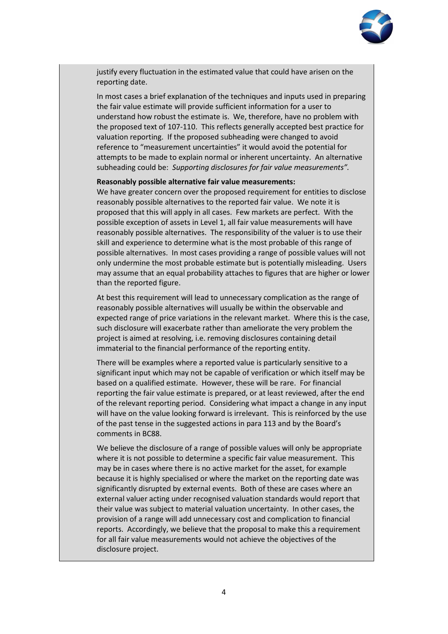

justify every fluctuation in the estimated value that could have arisen on the reporting date.

In most cases a brief explanation of the techniques and inputs used in preparing the fair value estimate will provide sufficient information for a user to understand how robust the estimate is. We, therefore, have no problem with the proposed text of 107-110. This reflects generally accepted best practice for valuation reporting. If the proposed subheading were changed to avoid reference to "measurement uncertainties" it would avoid the potential for attempts to be made to explain normal or inherent uncertainty. An alternative subheading could be: *Supporting disclosures for fair value measurements".* 

#### **Reasonably possible alternative fair value measurements:**

We have greater concern over the proposed requirement for entities to disclose reasonably possible alternatives to the reported fair value. We note it is proposed that this will apply in all cases. Few markets are perfect. With the possible exception of assets in Level 1, all fair value measurements will have reasonably possible alternatives. The responsibility of the valuer is to use their skill and experience to determine what is the most probable of this range of possible alternatives. In most cases providing a range of possible values will not only undermine the most probable estimate but is potentially misleading. Users may assume that an equal probability attaches to figures that are higher or lower than the reported figure.

At best this requirement will lead to unnecessary complication as the range of reasonably possible alternatives will usually be within the observable and expected range of price variations in the relevant market. Where this is the case, such disclosure will exacerbate rather than ameliorate the very problem the project is aimed at resolving, i.e. removing disclosures containing detail immaterial to the financial performance of the reporting entity.

There will be examples where a reported value is particularly sensitive to a significant input which may not be capable of verification or which itself may be based on a qualified estimate. However, these will be rare. For financial reporting the fair value estimate is prepared, or at least reviewed, after the end of the relevant reporting period. Considering what impact a change in any input will have on the value looking forward is irrelevant. This is reinforced by the use of the past tense in the suggested actions in para 113 and by the Board's comments in BC88.

We believe the disclosure of a range of possible values will only be appropriate where it is not possible to determine a specific fair value measurement. This may be in cases where there is no active market for the asset, for example because it is highly specialised or where the market on the reporting date was significantly disrupted by external events. Both of these are cases where an external valuer acting under recognised valuation standards would report that their value was subject to material valuation uncertainty. In other cases, the provision of a range will add unnecessary cost and complication to financial reports. Accordingly, we believe that the proposal to make this a requirement for all fair value measurements would not achieve the objectives of the disclosure project.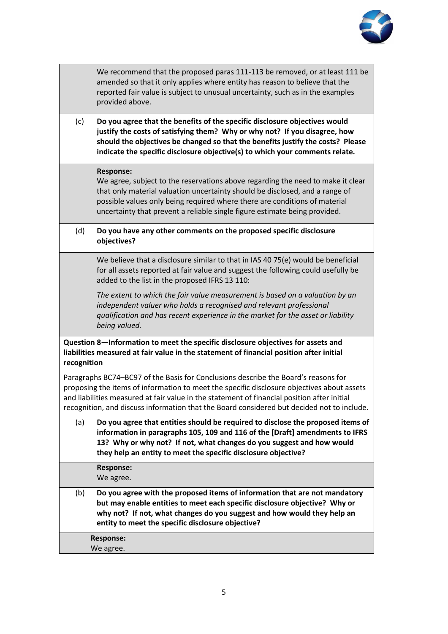

We recommend that the proposed paras 111-113 be removed, or at least 111 be amended so that it only applies where entity has reason to believe that the reported fair value is subject to unusual uncertainty, such as in the examples provided above.

(c) **Do you agree that the benefits of the specific disclosure objectives would justify the costs of satisfying them? Why or why not? If you disagree, how should the objectives be changed so that the benefits justify the costs? Please indicate the specific disclosure objective(s) to which your comments relate.** 

#### **Response:**

We agree, subject to the reservations above regarding the need to make it clear that only material valuation uncertainty should be disclosed, and a range of possible values only being required where there are conditions of material uncertainty that prevent a reliable single figure estimate being provided.

## (d) **Do you have any other comments on the proposed specific disclosure objectives?**

We believe that a disclosure similar to that in IAS 40 75(e) would be beneficial for all assets reported at fair value and suggest the following could usefully be added to the list in the proposed IFRS 13 110:

*The extent to which the fair value measurement is based on a valuation by an independent valuer who holds a recognised and relevant professional qualification and has recent experience in the market for the asset or liability being valued.* 

**Question 8—Information to meet the specific disclosure objectives for assets and liabilities measured at fair value in the statement of financial position after initial recognition** 

Paragraphs BC74–BC97 of the Basis for Conclusions describe the Board's reasons for proposing the items of information to meet the specific disclosure objectives about assets and liabilities measured at fair value in the statement of financial position after initial recognition, and discuss information that the Board considered but decided not to include.

(a) **Do you agree that entities should be required to disclose the proposed items of information in paragraphs 105, 109 and 116 of the [Draft] amendments to IFRS 13? Why or why not? If not, what changes do you suggest and how would they help an entity to meet the specific disclosure objective?**

|                  | Response:<br>We agree.                                                                                                                                                                                                                                                                   |
|------------------|------------------------------------------------------------------------------------------------------------------------------------------------------------------------------------------------------------------------------------------------------------------------------------------|
| (b)              | Do you agree with the proposed items of information that are not mandatory<br>but may enable entities to meet each specific disclosure objective? Why or<br>why not? If not, what changes do you suggest and how would they help an<br>entity to meet the specific disclosure objective? |
| <b>Response:</b> |                                                                                                                                                                                                                                                                                          |
|                  | We agree.                                                                                                                                                                                                                                                                                |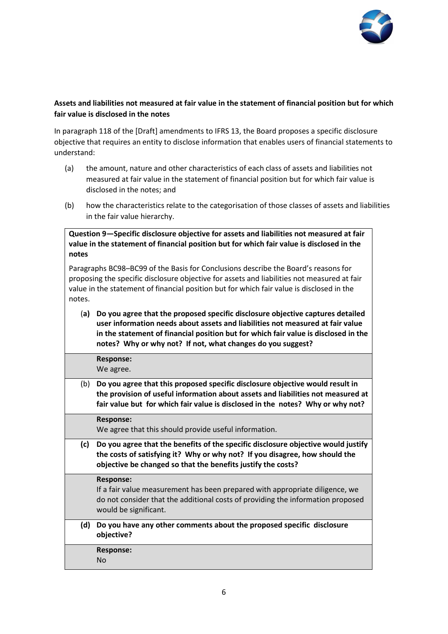

# **Assets and liabilities not measured at fair value in the statement of financial position but for which fair value is disclosed in the notes**

In paragraph 118 of the [Draft] amendments to IFRS 13, the Board proposes a specific disclosure objective that requires an entity to disclose information that enables users of financial statements to understand:

- (a) the amount, nature and other characteristics of each class of assets and liabilities not measured at fair value in the statement of financial position but for which fair value is disclosed in the notes; and
- (b) how the characteristics relate to the categorisation of those classes of assets and liabilities in the fair value hierarchy.

**Question 9—Specific disclosure objective for assets and liabilities not measured at fair value in the statement of financial position but for which fair value is disclosed in the notes** 

Paragraphs BC98–BC99 of the Basis for Conclusions describe the Board's reasons for proposing the specific disclosure objective for assets and liabilities not measured at fair value in the statement of financial position but for which fair value is disclosed in the notes.

(**a) Do you agree that the proposed specific disclosure objective captures detailed user information needs about assets and liabilities not measured at fair value in the statement of financial position but for which fair value is disclosed in the notes? Why or why not? If not, what changes do you suggest?**

**Response:** We agree.

(b) **Do you agree that this proposed specific disclosure objective would result in the provision of useful information about assets and liabilities not measured at fair value but for which fair value is disclosed in the notes? Why or why not?** 

**Response:**

We agree that this should provide useful information.

**(c) Do you agree that the benefits of the specific disclosure objective would justify the costs of satisfying it? Why or why not? If you disagree, how should the objective be changed so that the benefits justify the costs?** 

## **Response:**

If a fair value measurement has been prepared with appropriate diligence, we do not consider that the additional costs of providing the information proposed would be significant.

**(d) Do you have any other comments about the proposed specific disclosure objective?** 

**Response:**

No